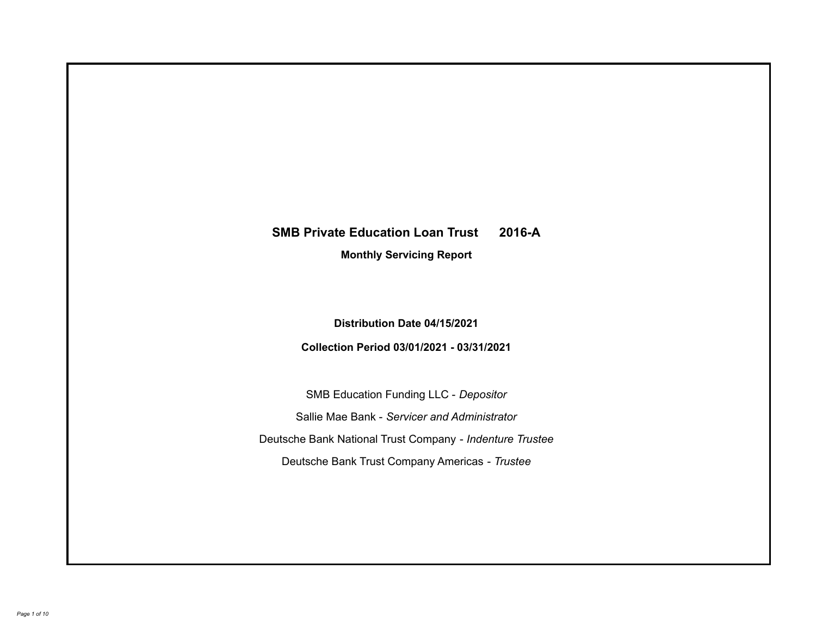# **SMB Private Education Loan Trust 2016-A**

**Monthly Servicing Report**

**Distribution Date 04/15/2021**

**Collection Period 03/01/2021 - 03/31/2021**

SMB Education Funding LLC - *Depositor* Sallie Mae Bank - *Servicer and Administrator* Deutsche Bank National Trust Company - *Indenture Trustee* Deutsche Bank Trust Company Americas - *Trustee*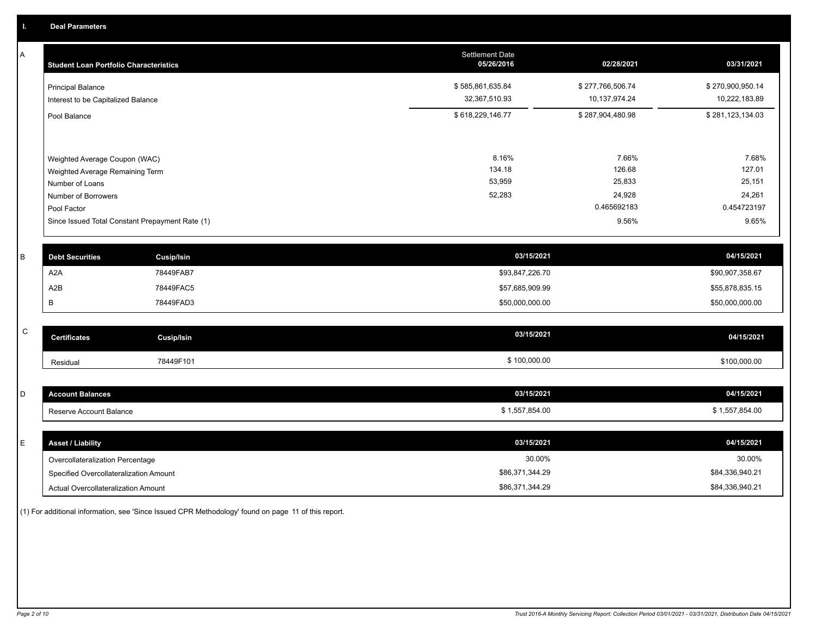A

| Α | <b>Student Loan Portfolio Characteristics</b> |                                                 | <b>Settlement Date</b><br>05/26/2016 | 02/28/2021       | 03/31/2021       |
|---|-----------------------------------------------|-------------------------------------------------|--------------------------------------|------------------|------------------|
|   | <b>Principal Balance</b>                      |                                                 | \$585,861,635.84                     | \$277,766,506.74 | \$270,900,950.14 |
|   | Interest to be Capitalized Balance            |                                                 | 32,367,510.93                        | 10,137,974.24    | 10,222,183.89    |
|   | Pool Balance                                  |                                                 | \$618,229,146.77                     | \$287,904,480.98 | \$281,123,134.03 |
|   |                                               |                                                 |                                      |                  |                  |
|   | Weighted Average Coupon (WAC)                 |                                                 | 8.16%                                | 7.66%            | 7.68%            |
|   | Weighted Average Remaining Term               |                                                 | 134.18                               | 126.68           | 127.01           |
|   | Number of Loans                               |                                                 | 53,959                               | 25,833           | 25,151           |
|   | Number of Borrowers                           |                                                 | 52,283                               | 24,928           | 24,261           |
|   | Pool Factor                                   |                                                 |                                      | 0.465692183      | 0.454723197      |
|   |                                               | Since Issued Total Constant Prepayment Rate (1) |                                      | 9.56%            | 9.65%            |
| B | <b>Debt Securities</b>                        | <b>Cusip/Isin</b>                               | 03/15/2021                           |                  | 04/15/2021       |
|   | A <sub>2</sub> A                              | 78449FAB7                                       | \$93,847,226.70                      |                  | \$90,907,358.67  |
|   | A <sub>2</sub> B                              | 78449FAC5                                       | \$57,685,909.99                      |                  | \$55,878,835.15  |
|   | B                                             | 78449FAD3                                       | \$50,000,000.00                      |                  | \$50,000,000.00  |
|   |                                               |                                                 |                                      |                  |                  |
| C | <b>Certificates</b>                           | <b>Cusip/Isin</b>                               | 03/15/2021                           |                  | 04/15/2021       |
|   | Residual                                      | 78449F101                                       | \$100,000.00                         |                  | \$100,000.00     |
|   |                                               |                                                 |                                      |                  |                  |
| D | <b>Account Balances</b>                       |                                                 | 03/15/2021                           |                  | 04/15/2021       |
|   | Reserve Account Balance                       |                                                 | \$1,557,854.00                       |                  | \$1,557,854.00   |
|   |                                               |                                                 |                                      |                  |                  |
|   |                                               |                                                 | 02/45/2024                           |                  | 0.414E/2024      |

| E. | <b>Asset / Liability</b>               | 03/15/2021      | 04/15/2021      |
|----|----------------------------------------|-----------------|-----------------|
|    | Overcollateralization Percentage       | 30.00%          | 30.00%          |
|    | Specified Overcollateralization Amount | \$86,371,344.29 | \$84,336,940.21 |
|    | Actual Overcollateralization Amount    | \$86,371,344.29 | \$84,336,940.21 |

(1) For additional information, see 'Since Issued CPR Methodology' found on page 11 of this report.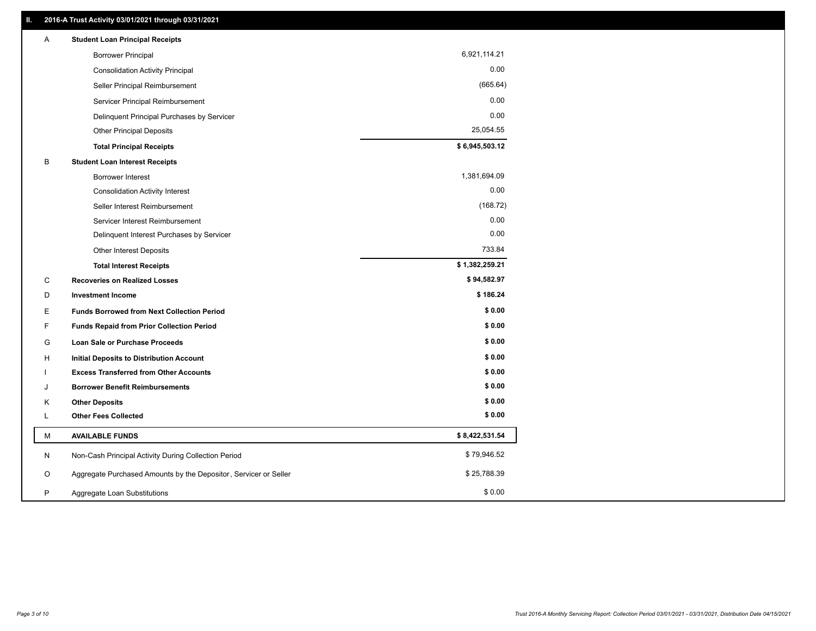| Α | <b>Student Loan Principal Receipts</b>                           |                |  |
|---|------------------------------------------------------------------|----------------|--|
|   | <b>Borrower Principal</b>                                        | 6,921,114.21   |  |
|   | <b>Consolidation Activity Principal</b>                          | 0.00           |  |
|   | Seller Principal Reimbursement                                   | (665.64)       |  |
|   | Servicer Principal Reimbursement                                 | 0.00           |  |
|   | Delinquent Principal Purchases by Servicer                       | 0.00           |  |
|   | <b>Other Principal Deposits</b>                                  | 25,054.55      |  |
|   | <b>Total Principal Receipts</b>                                  | \$6,945,503.12 |  |
| В | <b>Student Loan Interest Receipts</b>                            |                |  |
|   | <b>Borrower Interest</b>                                         | 1,381,694.09   |  |
|   | <b>Consolidation Activity Interest</b>                           | 0.00           |  |
|   | Seller Interest Reimbursement                                    | (168.72)       |  |
|   | Servicer Interest Reimbursement                                  | 0.00           |  |
|   | Delinquent Interest Purchases by Servicer                        | 0.00           |  |
|   | Other Interest Deposits                                          | 733.84         |  |
|   | <b>Total Interest Receipts</b>                                   | \$1,382,259.21 |  |
| C | <b>Recoveries on Realized Losses</b>                             | \$94,582.97    |  |
| D | <b>Investment Income</b>                                         | \$186.24       |  |
| E | <b>Funds Borrowed from Next Collection Period</b>                | \$0.00         |  |
| F | <b>Funds Repaid from Prior Collection Period</b>                 | \$0.00         |  |
| G | Loan Sale or Purchase Proceeds                                   | \$0.00         |  |
| н | <b>Initial Deposits to Distribution Account</b>                  | \$0.00         |  |
|   | <b>Excess Transferred from Other Accounts</b>                    | \$0.00         |  |
| J | <b>Borrower Benefit Reimbursements</b>                           | \$0.00         |  |
| Κ | <b>Other Deposits</b>                                            | \$0.00         |  |
| L | <b>Other Fees Collected</b>                                      | \$0.00         |  |
| М | <b>AVAILABLE FUNDS</b>                                           | \$8,422,531.54 |  |
| N | Non-Cash Principal Activity During Collection Period             | \$79,946.52    |  |
| O | Aggregate Purchased Amounts by the Depositor, Servicer or Seller | \$25,788.39    |  |
| P | Aggregate Loan Substitutions                                     | \$0.00         |  |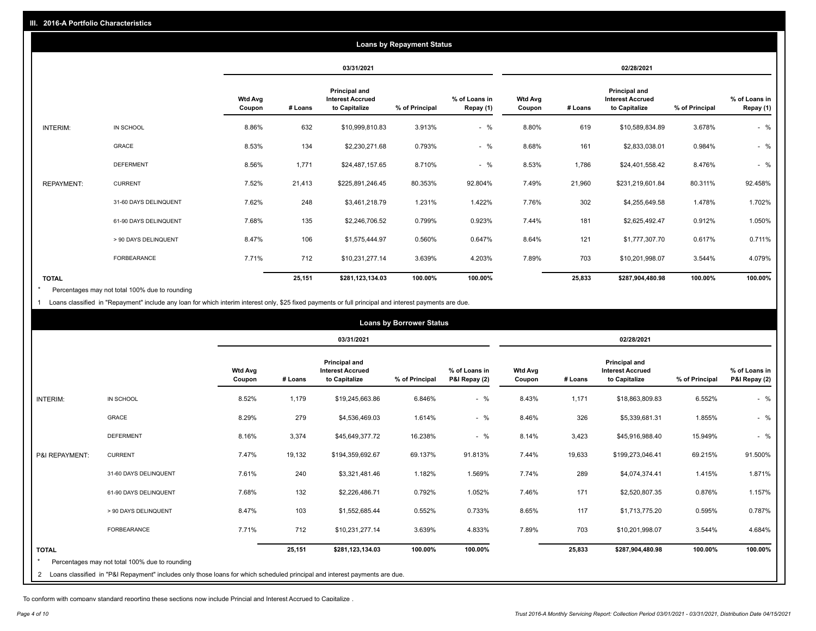|                   |                       |                          |         |                                                           | <b>Loans by Repayment Status</b> |                            |                          |         |                                                           |                |                            |
|-------------------|-----------------------|--------------------------|---------|-----------------------------------------------------------|----------------------------------|----------------------------|--------------------------|---------|-----------------------------------------------------------|----------------|----------------------------|
|                   |                       |                          |         | 03/31/2021                                                |                                  |                            |                          |         | 02/28/2021                                                |                |                            |
|                   |                       | <b>Wtd Avg</b><br>Coupon | # Loans | Principal and<br><b>Interest Accrued</b><br>to Capitalize | % of Principal                   | % of Loans in<br>Repay (1) | <b>Wtd Avg</b><br>Coupon | # Loans | Principal and<br><b>Interest Accrued</b><br>to Capitalize | % of Principal | % of Loans in<br>Repay (1) |
| INTERIM:          | IN SCHOOL             | 8.86%                    | 632     | \$10,999,810.83                                           | 3.913%                           | $-$ %                      | 8.80%                    | 619     | \$10,589,834.89                                           | 3.678%         | $-$ %                      |
|                   | GRACE                 | 8.53%                    | 134     | \$2,230,271.68                                            | 0.793%                           | $-$ %                      | 8.68%                    | 161     | \$2,833,038.01                                            | 0.984%         | $-$ %                      |
|                   | <b>DEFERMENT</b>      | 8.56%                    | 1,771   | \$24,487,157.65                                           | 8.710%                           | $-$ %                      | 8.53%                    | 1,786   | \$24,401,558.42                                           | 8.476%         | $-$ %                      |
| <b>REPAYMENT:</b> | <b>CURRENT</b>        | 7.52%                    | 21,413  | \$225,891,246.45                                          | 80.353%                          | 92.804%                    | 7.49%                    | 21,960  | \$231,219,601.84                                          | 80.311%        | 92.458%                    |
|                   | 31-60 DAYS DELINQUENT | 7.62%                    | 248     | \$3,461,218.79                                            | 1.231%                           | 1.422%                     | 7.76%                    | 302     | \$4,255,649.58                                            | 1.478%         | 1.702%                     |
|                   | 61-90 DAYS DELINQUENT | 7.68%                    | 135     | \$2,246,706.52                                            | 0.799%                           | 0.923%                     | 7.44%                    | 181     | \$2,625,492.47                                            | 0.912%         | 1.050%                     |
|                   | > 90 DAYS DELINQUENT  | 8.47%                    | 106     | \$1,575,444.97                                            | 0.560%                           | 0.647%                     | 8.64%                    | 121     | \$1,777,307.70                                            | 0.617%         | 0.711%                     |
|                   | FORBEARANCE           | 7.71%                    | 712     | \$10,231,277.14                                           | 3.639%                           | 4.203%                     | 7.89%                    | 703     | \$10,201,998.07                                           | 3.544%         | 4.079%                     |
| <b>TOTAL</b>      |                       |                          | 25,151  | \$281,123,134.03                                          | 100.00%                          | 100.00%                    |                          | 25,833  | \$287,904,480.98                                          | 100.00%        | 100.00%                    |

Percentages may not total 100% due to rounding  $\star$ 

1 Loans classified in "Repayment" include any loan for which interim interest only, \$25 fixed payments or full principal and interest payments are due.

|                 | <b>Loans by Borrower Status</b>                                                                                              |                          |         |                                                                  |                |                                |                          |         |                                                                  |                |                                |
|-----------------|------------------------------------------------------------------------------------------------------------------------------|--------------------------|---------|------------------------------------------------------------------|----------------|--------------------------------|--------------------------|---------|------------------------------------------------------------------|----------------|--------------------------------|
|                 |                                                                                                                              |                          |         | 03/31/2021                                                       |                |                                |                          |         | 02/28/2021                                                       |                |                                |
|                 |                                                                                                                              | <b>Wtd Avg</b><br>Coupon | # Loans | <b>Principal and</b><br><b>Interest Accrued</b><br>to Capitalize | % of Principal | % of Loans in<br>P&I Repay (2) | <b>Wtd Avg</b><br>Coupon | # Loans | <b>Principal and</b><br><b>Interest Accrued</b><br>to Capitalize | % of Principal | % of Loans in<br>P&I Repay (2) |
| <b>INTERIM:</b> | IN SCHOOL                                                                                                                    | 8.52%                    | 1,179   | \$19,245,663.86                                                  | 6.846%         | $-$ %                          | 8.43%                    | 1,171   | \$18,863,809.83                                                  | 6.552%         | $-$ %                          |
|                 | <b>GRACE</b>                                                                                                                 | 8.29%                    | 279     | \$4,536,469.03                                                   | 1.614%         | $-$ %                          | 8.46%                    | 326     | \$5,339,681.31                                                   | 1.855%         | $-$ %                          |
|                 | <b>DEFERMENT</b>                                                                                                             | 8.16%                    | 3,374   | \$45,649,377.72                                                  | 16.238%        | $-$ %                          | 8.14%                    | 3,423   | \$45,916,988.40                                                  | 15.949%        | $-$ %                          |
| P&I REPAYMENT:  | <b>CURRENT</b>                                                                                                               | 7.47%                    | 19,132  | \$194,359,692.67                                                 | 69.137%        | 91.813%                        | 7.44%                    | 19,633  | \$199,273,046.41                                                 | 69.215%        | 91.500%                        |
|                 | 31-60 DAYS DELINQUENT                                                                                                        | 7.61%                    | 240     | \$3,321,481.46                                                   | 1.182%         | 1.569%                         | 7.74%                    | 289     | \$4,074,374.41                                                   | 1.415%         | 1.871%                         |
|                 | 61-90 DAYS DELINQUENT                                                                                                        | 7.68%                    | 132     | \$2,226,486.71                                                   | 0.792%         | 1.052%                         | 7.46%                    | 171     | \$2,520,807.35                                                   | 0.876%         | 1.157%                         |
|                 | > 90 DAYS DELINQUENT                                                                                                         | 8.47%                    | 103     | \$1,552,685.44                                                   | 0.552%         | 0.733%                         | 8.65%                    | 117     | \$1,713,775.20                                                   | 0.595%         | 0.787%                         |
|                 | <b>FORBEARANCE</b>                                                                                                           | 7.71%                    | 712     | \$10,231,277.14                                                  | 3.639%         | 4.833%                         | 7.89%                    | 703     | \$10,201,998.07                                                  | 3.544%         | 4.684%                         |
| <b>TOTAL</b>    | Percentages may not total 100% due to rounding                                                                               |                          | 25,151  | \$281,123,134.03                                                 | 100.00%        | 100.00%                        |                          | 25,833  | \$287,904,480.98                                                 | 100.00%        | 100.00%                        |
|                 | 2 Loans classified in "P&I Repayment" includes only those loans for which scheduled principal and interest payments are due. |                          |         |                                                                  |                |                                |                          |         |                                                                  |                |                                |

To conform with company standard reporting these sections now include Princial and Interest Accrued to Capitalize .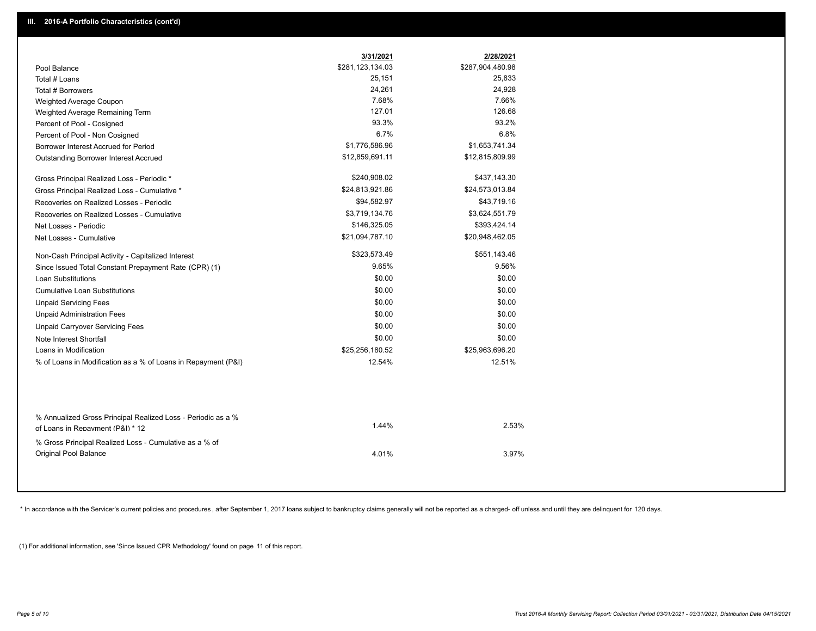|                                                                                                  | 3/31/2021        | 2/28/2021        |  |
|--------------------------------------------------------------------------------------------------|------------------|------------------|--|
| Pool Balance                                                                                     | \$281,123,134.03 | \$287,904,480.98 |  |
| Total # Loans                                                                                    | 25,151           | 25,833           |  |
| Total # Borrowers                                                                                | 24,261           | 24,928           |  |
| Weighted Average Coupon                                                                          | 7.68%            | 7.66%            |  |
| Weighted Average Remaining Term                                                                  | 127.01           | 126.68           |  |
| Percent of Pool - Cosigned                                                                       | 93.3%            | 93.2%            |  |
| Percent of Pool - Non Cosigned                                                                   | 6.7%             | 6.8%             |  |
| Borrower Interest Accrued for Period                                                             | \$1,776,586.96   | \$1,653,741.34   |  |
| Outstanding Borrower Interest Accrued                                                            | \$12,859,691.11  | \$12,815,809.99  |  |
| Gross Principal Realized Loss - Periodic *                                                       | \$240,908.02     | \$437,143.30     |  |
| Gross Principal Realized Loss - Cumulative *                                                     | \$24,813,921.86  | \$24,573,013.84  |  |
| Recoveries on Realized Losses - Periodic                                                         | \$94,582.97      | \$43,719.16      |  |
| Recoveries on Realized Losses - Cumulative                                                       | \$3,719,134.76   | \$3,624,551.79   |  |
| Net Losses - Periodic                                                                            | \$146,325.05     | \$393,424.14     |  |
| Net Losses - Cumulative                                                                          | \$21,094,787.10  | \$20,948,462.05  |  |
| Non-Cash Principal Activity - Capitalized Interest                                               | \$323,573.49     | \$551,143.46     |  |
| Since Issued Total Constant Prepayment Rate (CPR) (1)                                            | 9.65%            | 9.56%            |  |
| <b>Loan Substitutions</b>                                                                        | \$0.00           | \$0.00           |  |
| <b>Cumulative Loan Substitutions</b>                                                             | \$0.00           | \$0.00           |  |
| <b>Unpaid Servicing Fees</b>                                                                     | \$0.00           | \$0.00           |  |
| <b>Unpaid Administration Fees</b>                                                                | \$0.00           | \$0.00           |  |
| <b>Unpaid Carryover Servicing Fees</b>                                                           | \$0.00           | \$0.00           |  |
| Note Interest Shortfall                                                                          | \$0.00           | \$0.00           |  |
| Loans in Modification                                                                            | \$25,256,180.52  | \$25,963,696.20  |  |
| % of Loans in Modification as a % of Loans in Repayment (P&I)                                    | 12.54%           | 12.51%           |  |
|                                                                                                  |                  |                  |  |
| % Annualized Gross Principal Realized Loss - Periodic as a %<br>of Loans in Repayment (P&I) * 12 | 1.44%            | 2.53%            |  |
| % Gross Principal Realized Loss - Cumulative as a % of                                           |                  |                  |  |
| Original Pool Balance                                                                            | 4.01%            | 3.97%            |  |

\* In accordance with the Servicer's current policies and procedures, after September 1, 2017 loans subject to bankruptcy claims generally will not be reported as a charged- off unless and until they are delinquent for 120

(1) For additional information, see 'Since Issued CPR Methodology' found on page 11 of this report.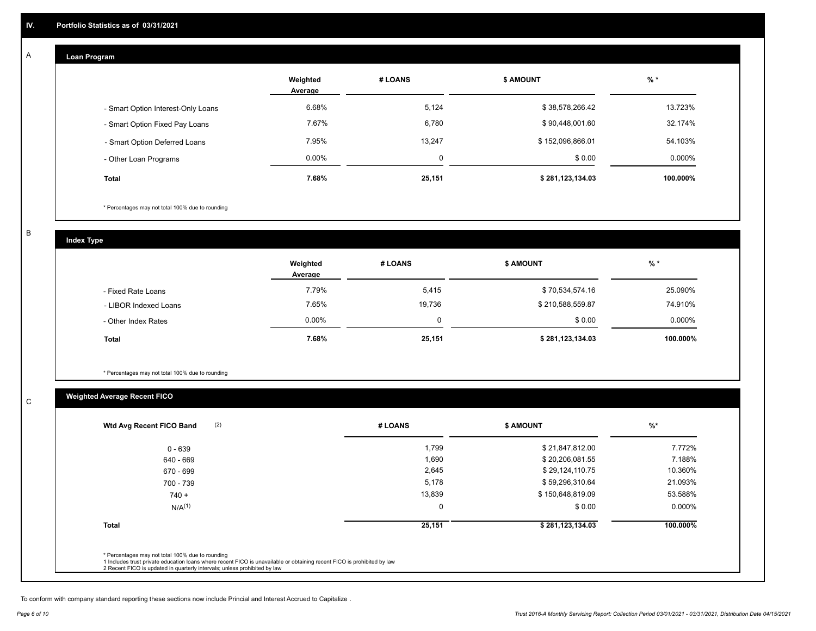## **Loan Program**

A

|                                    | Weighted<br>Average | # LOANS | <b>\$ AMOUNT</b> | $%$ *    |
|------------------------------------|---------------------|---------|------------------|----------|
| - Smart Option Interest-Only Loans | 6.68%               | 5,124   | \$38,578,266.42  | 13.723%  |
| - Smart Option Fixed Pay Loans     | 7.67%               | 6,780   | \$90,448,001.60  | 32.174%  |
| - Smart Option Deferred Loans      | 7.95%               | 13.247  | \$152,096,866.01 | 54.103%  |
| - Other Loan Programs              | $0.00\%$            | 0       | \$0.00           | 0.000%   |
| <b>Total</b>                       | 7.68%               | 25,151  | \$281,123,134.03 | 100.000% |

\* Percentages may not total 100% due to rounding

B

C

**Index Type**

|                       | Weighted<br>Average | # LOANS | \$ AMOUNT        | $%$ *    |
|-----------------------|---------------------|---------|------------------|----------|
| - Fixed Rate Loans    | 7.79%               | 5,415   | \$70,534,574.16  | 25.090%  |
| - LIBOR Indexed Loans | 7.65%               | 19,736  | \$210,588,559.87 | 74.910%  |
| - Other Index Rates   | $0.00\%$            |         | \$0.00           | 0.000%   |
| <b>Total</b>          | 7.68%               | 25,151  | \$281,123,134.03 | 100.000% |

\* Percentages may not total 100% due to rounding

## **Weighted Average Recent FICO**

| 1,799<br>1,690<br>2,645<br>5,178 | \$21,847,812.00<br>\$20,206,081.55<br>\$29,124,110.75 | 7.772%<br>7.188%<br>10.360% |
|----------------------------------|-------------------------------------------------------|-----------------------------|
|                                  |                                                       |                             |
|                                  |                                                       |                             |
|                                  |                                                       |                             |
|                                  | \$59,296,310.64                                       | 21.093%                     |
| 13,839                           | \$150,648,819.09                                      | 53.588%                     |
| $\mathbf 0$                      | \$0.00                                                | $0.000\%$                   |
| 25,151                           | \$281,123,134.03                                      | 100.000%                    |
|                                  |                                                       |                             |

To conform with company standard reporting these sections now include Princial and Interest Accrued to Capitalize .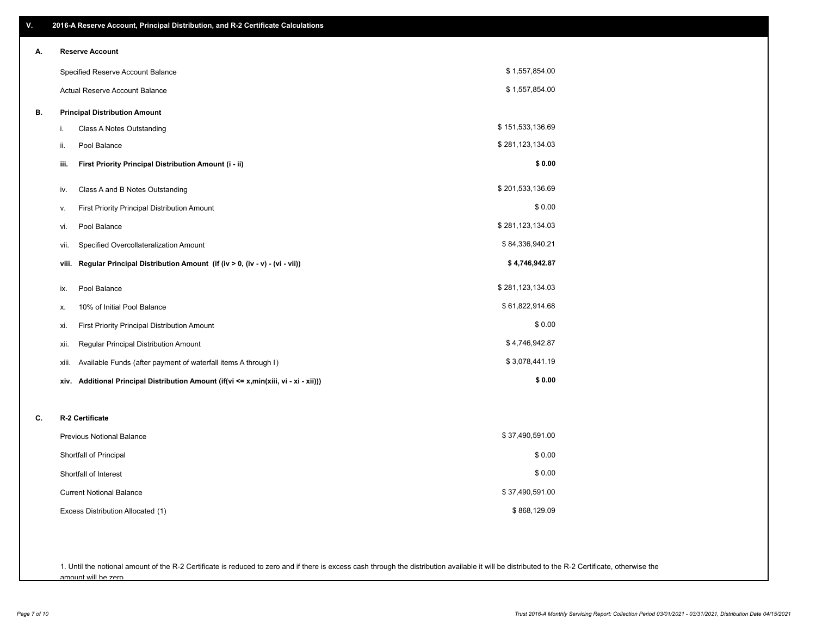| V. | 2016-A Reserve Account, Principal Distribution, and R-2 Certificate Calculations     |                  |
|----|--------------------------------------------------------------------------------------|------------------|
| А. | <b>Reserve Account</b>                                                               |                  |
|    | Specified Reserve Account Balance                                                    | \$1,557,854.00   |
|    | Actual Reserve Account Balance                                                       | \$1,557,854.00   |
| В. | <b>Principal Distribution Amount</b>                                                 |                  |
|    | Class A Notes Outstanding<br>i.                                                      | \$151,533,136.69 |
|    | Pool Balance<br>ii.                                                                  | \$281,123,134.03 |
|    | First Priority Principal Distribution Amount (i - ii)<br>iii.                        | \$0.00           |
|    | Class A and B Notes Outstanding<br>iv.                                               | \$201,533,136.69 |
|    | First Priority Principal Distribution Amount<br>ν.                                   | \$0.00           |
|    | Pool Balance<br>vi.                                                                  | \$281,123,134.03 |
|    | Specified Overcollateralization Amount<br>vii.                                       | \$84,336,940.21  |
|    | Regular Principal Distribution Amount (if (iv > 0, (iv - v) - (vi - vii))<br>viii.   | \$4,746,942.87   |
|    | Pool Balance<br>ix.                                                                  | \$281,123,134.03 |
|    | 10% of Initial Pool Balance<br>х.                                                    | \$61,822,914.68  |
|    | First Priority Principal Distribution Amount<br>xi.                                  | \$0.00           |
|    | Regular Principal Distribution Amount<br>xii.                                        | \$4,746,942.87   |
|    | Available Funds (after payment of waterfall items A through I)<br>xiii.              | \$3,078,441.19   |
|    | xiv. Additional Principal Distribution Amount (if(vi <= x,min(xiii, vi - xi - xii))) | \$0.00           |
| C. | R-2 Certificate                                                                      |                  |
|    | <b>Previous Notional Balance</b>                                                     | \$37,490,591.00  |
|    | Shortfall of Principal                                                               | \$0.00           |
|    | Shortfall of Interest                                                                | \$0.00           |
|    | <b>Current Notional Balance</b>                                                      | \$37,490,591.00  |
|    | Excess Distribution Allocated (1)                                                    | \$868,129.09     |
|    |                                                                                      |                  |
|    |                                                                                      |                  |

1. Until the notional amount of the R-2 Certificate is reduced to zero and if there is excess cash through the distribution available it will be distributed to the R-2 Certificate, otherwise the amount will be zero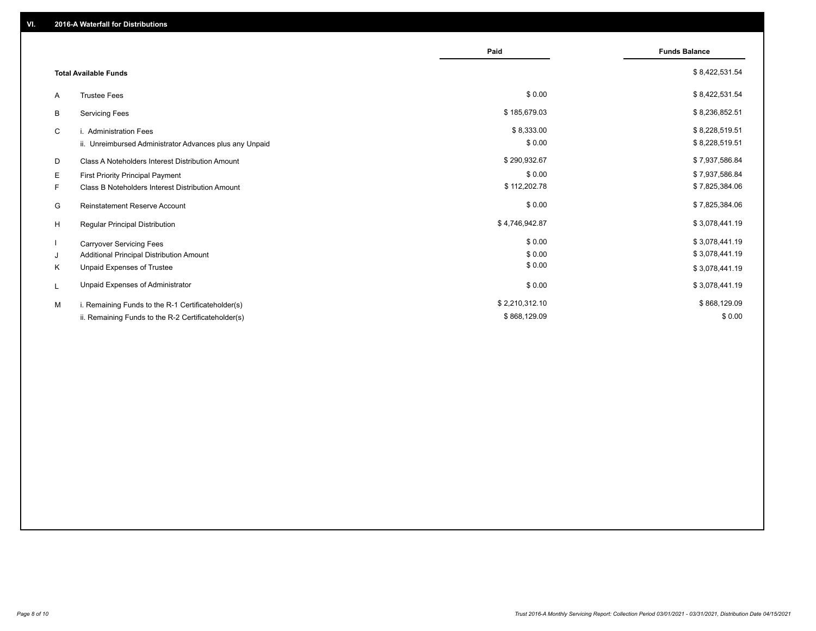|    |                                                         | Paid           | <b>Funds Balance</b> |
|----|---------------------------------------------------------|----------------|----------------------|
|    | <b>Total Available Funds</b>                            |                | \$8,422,531.54       |
| A  | <b>Trustee Fees</b>                                     | \$0.00         | \$8,422,531.54       |
| В  | <b>Servicing Fees</b>                                   | \$185,679.03   | \$8,236,852.51       |
| C  | i. Administration Fees                                  | \$8,333.00     | \$8,228,519.51       |
|    | ii. Unreimbursed Administrator Advances plus any Unpaid | \$0.00         | \$8,228,519.51       |
| D  | Class A Noteholders Interest Distribution Amount        | \$290,932.67   | \$7,937,586.84       |
| Е  | First Priority Principal Payment                        | \$0.00         | \$7,937,586.84       |
| F. | Class B Noteholders Interest Distribution Amount        | \$112,202.78   | \$7,825,384.06       |
| G  | <b>Reinstatement Reserve Account</b>                    | \$0.00         | \$7,825,384.06       |
| H  | Regular Principal Distribution                          | \$4,746,942.87 | \$3,078,441.19       |
|    | <b>Carryover Servicing Fees</b>                         | \$0.00         | \$3,078,441.19       |
| J  | Additional Principal Distribution Amount                | \$0.00         | \$3,078,441.19       |
| Κ  | Unpaid Expenses of Trustee                              | \$0.00         | \$3,078,441.19       |
| L  | Unpaid Expenses of Administrator                        | \$0.00         | \$3,078,441.19       |
| M  | i. Remaining Funds to the R-1 Certificateholder(s)      | \$2,210,312.10 | \$868,129.09         |
|    | ii. Remaining Funds to the R-2 Certificateholder(s)     | \$868,129.09   | \$0.00               |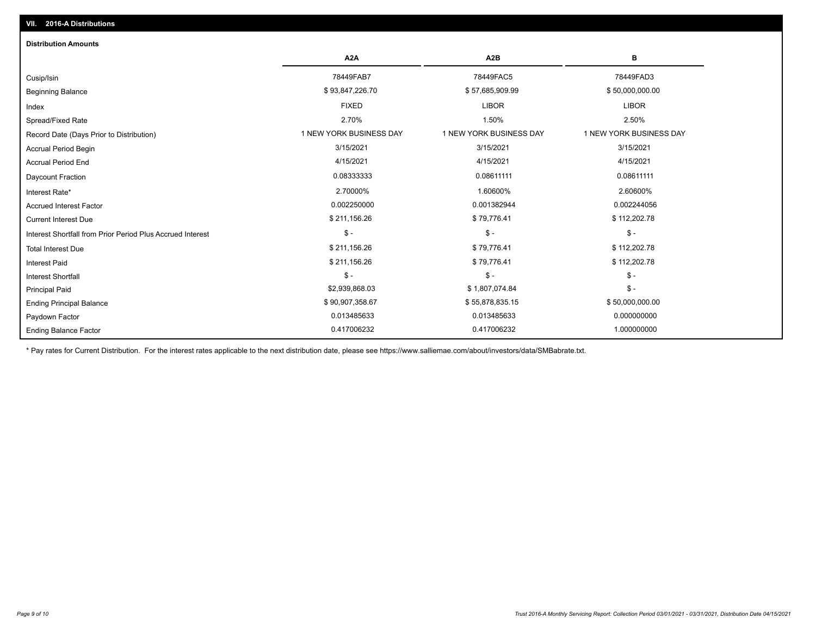| <b>Distribution Amounts</b>                                |                         |                         |                         |
|------------------------------------------------------------|-------------------------|-------------------------|-------------------------|
|                                                            | A <sub>2</sub> A        | A <sub>2</sub> B        | в                       |
| Cusip/Isin                                                 | 78449FAB7               | 78449FAC5               | 78449FAD3               |
| <b>Beginning Balance</b>                                   | \$93,847,226.70         | \$57,685,909.99         | \$50,000,000.00         |
| Index                                                      | <b>FIXED</b>            | <b>LIBOR</b>            | <b>LIBOR</b>            |
| Spread/Fixed Rate                                          | 2.70%                   | 1.50%                   | 2.50%                   |
| Record Date (Days Prior to Distribution)                   | 1 NEW YORK BUSINESS DAY | 1 NEW YORK BUSINESS DAY | 1 NEW YORK BUSINESS DAY |
| <b>Accrual Period Begin</b>                                | 3/15/2021               | 3/15/2021               | 3/15/2021               |
| <b>Accrual Period End</b>                                  | 4/15/2021               | 4/15/2021               | 4/15/2021               |
| <b>Daycount Fraction</b>                                   | 0.08333333              | 0.08611111              | 0.08611111              |
| Interest Rate*                                             | 2.70000%                | 1.60600%                | 2.60600%                |
| <b>Accrued Interest Factor</b>                             | 0.002250000             | 0.001382944             | 0.002244056             |
| <b>Current Interest Due</b>                                | \$211,156.26            | \$79,776.41             | \$112,202.78            |
| Interest Shortfall from Prior Period Plus Accrued Interest | $\mathcal{S}$ -         | $$ -$                   | $\mathsf{\$}$ -         |
| <b>Total Interest Due</b>                                  | \$211,156.26            | \$79,776.41             | \$112,202.78            |
| <b>Interest Paid</b>                                       | \$211,156.26            | \$79,776.41             | \$112,202.78            |
| Interest Shortfall                                         | $\mathsf{\$}$ -         | $$ -$                   | $$ -$                   |
| <b>Principal Paid</b>                                      | \$2,939,868.03          | \$1,807,074.84          | $$ -$                   |
| <b>Ending Principal Balance</b>                            | \$90,907,358.67         | \$55,878,835.15         | \$50,000,000.00         |
| Paydown Factor                                             | 0.013485633             | 0.013485633             | 0.000000000             |
| <b>Ending Balance Factor</b>                               | 0.417006232             | 0.417006232             | 1.000000000             |

\* Pay rates for Current Distribution. For the interest rates applicable to the next distribution date, please see https://www.salliemae.com/about/investors/data/SMBabrate.txt.

**VII. 2016-A Distributions**